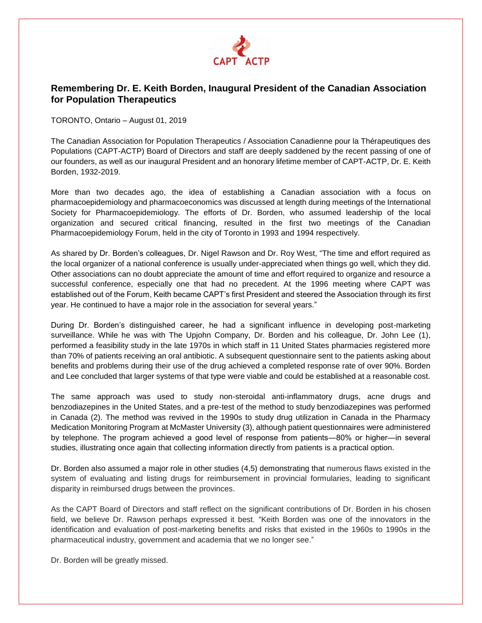

## **Remembering Dr. E. Keith Borden, Inaugural President of the Canadian Association for Population Therapeutics**

TORONTO, Ontario – August 01, 2019

The Canadian Association for Population Therapeutics / Association Canadienne pour la Thérapeutiques des Populations (CAPT-ACTP) Board of Directors and staff are deeply saddened by the recent passing of one of our founders, as well as our inaugural President and an honorary lifetime member of CAPT-ACTP, Dr. E. Keith Borden, 1932-2019.

More than two decades ago, the idea of establishing a Canadian association with a focus on pharmacoepidemiology and pharmacoeconomics was discussed at length during meetings of the International Society for Pharmacoepidemiology. The efforts of Dr. Borden, who assumed leadership of the local organization and secured critical financing, resulted in the first two meetings of the Canadian Pharmacoepidemiology Forum, held in the city of Toronto in 1993 and 1994 respectively.

As shared by Dr. Borden's colleagues, Dr. Nigel Rawson and Dr. Roy West, "The time and effort required as the local organizer of a national conference is usually under-appreciated when things go well, which they did. Other associations can no doubt appreciate the amount of time and effort required to organize and resource a successful conference, especially one that had no precedent. At the 1996 meeting where CAPT was established out of the Forum, Keith became CAPT's first President and steered the Association through its first year. He continued to have a major role in the association for several years."

During Dr. Borden's distinguished career, he had a significant influence in developing post-marketing surveillance. While he was with The Upjohn Company, Dr. Borden and his colleague, Dr. John Lee (1), performed a feasibility study in the late 1970s in which staff in 11 United States pharmacies registered more than 70% of patients receiving an oral antibiotic. A subsequent questionnaire sent to the patients asking about benefits and problems during their use of the drug achieved a completed response rate of over 90%. Borden and Lee concluded that larger systems of that type were viable and could be established at a reasonable cost.

The same approach was used to study non-steroidal anti-inflammatory drugs, acne drugs and benzodiazepines in the United States, and a pre-test of the method to study benzodiazepines was performed in Canada (2). The method was revived in the 1990s to study drug utilization in Canada in the Pharmacy Medication Monitoring Program at McMaster University (3), although patient questionnaires were administered by telephone. The program achieved a good level of response from patients―80% or higher―in several studies, illustrating once again that collecting information directly from patients is a practical option.

Dr. Borden also assumed a major role in other studies (4,5) demonstrating that numerous flaws existed in the system of evaluating and listing drugs for reimbursement in provincial formularies, leading to significant disparity in reimbursed drugs between the provinces.

As the CAPT Board of Directors and staff reflect on the significant contributions of Dr. Borden in his chosen field, we believe Dr. Rawson perhaps expressed it best. "Keith Borden was one of the innovators in the identification and evaluation of post-marketing benefits and risks that existed in the 1960s to 1990s in the pharmaceutical industry, government and academia that we no longer see."

Dr. Borden will be greatly missed.